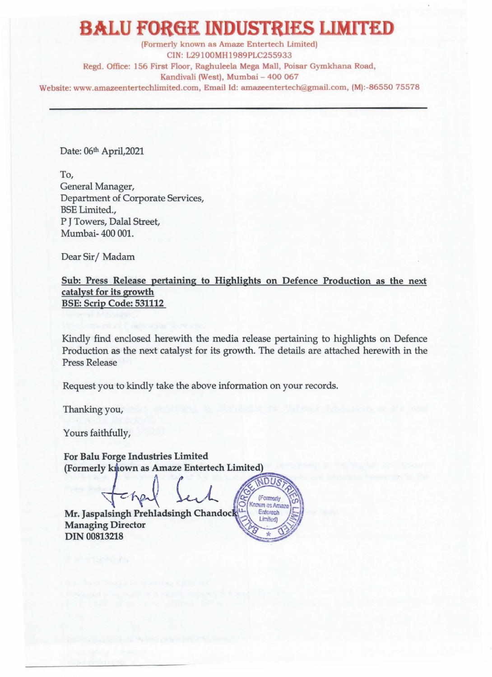## **BALU FORGE INDUSTRIES LIMITED**

(Formerly known as Amaze Entertech Limited) CIN: L29100MH1989PLC255933 Regd. Office: 156 First Floor, Raghuleela Mega Mall, Poisar Gymkhana Road, Kandivali (West), Mumbai - 400 067 Website: www.amazeentertechlimited.com, Email Id: amazeentertech@gmail.com, (M):-86550 75578

Date: 06th April, 2021

To, General Manager, Department of Corporate Services, BSE Limited., P J Towers, Dalal Street, Mumbai- 400 001.

Dear Sir/Madam

Sub: Press Release pertaining to Highlights on Defence Production as the next catalyst for its growth BSE: Scrip Code: 531112

Kindly find enclosed herewith the media release pertaining to highlights on Defence Production as the next catalyst for its growth. The details are attached herewith in the Press Release

Request you to kindly take the above information on your records.

Thanking you,

Yours faithfully,

For Balu Forge Industries Limited (Formerly known as Amaze Entertech Limited)

che

Mr. Jaspalsingh Prehladsingh Chandock Managing Director DIN 00813218